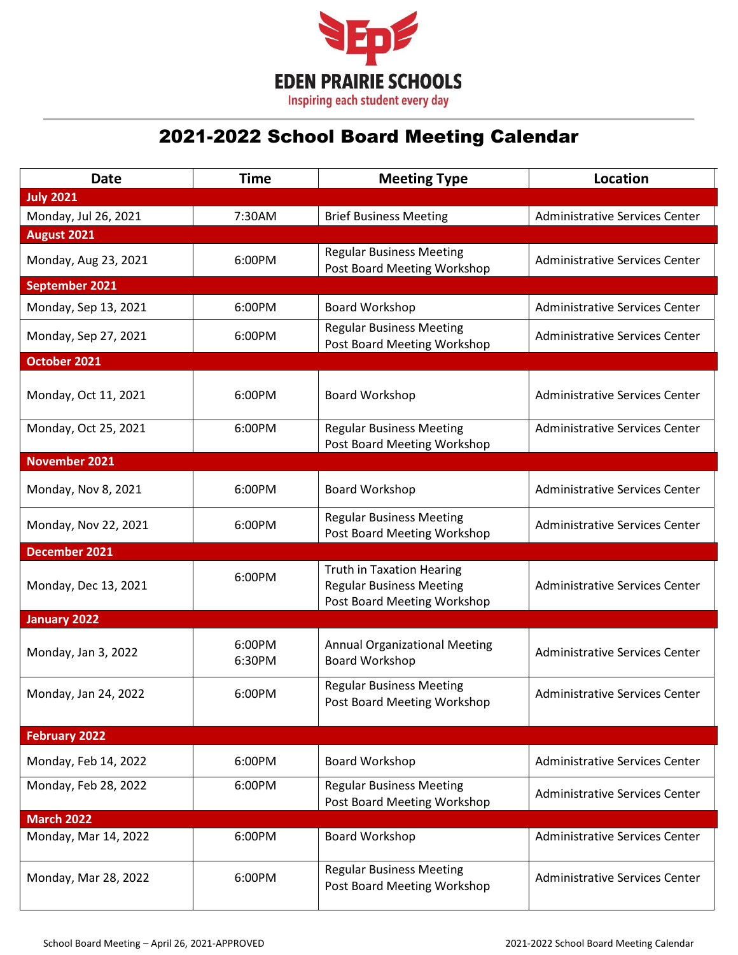

## 2021-2022 School Board Meeting Calendar

| <b>Date</b>          | <b>Time</b>      | <b>Meeting Type</b>                                                                                | <b>Location</b>                       |
|----------------------|------------------|----------------------------------------------------------------------------------------------------|---------------------------------------|
| <b>July 2021</b>     |                  |                                                                                                    |                                       |
| Monday, Jul 26, 2021 | 7:30AM           | <b>Brief Business Meeting</b>                                                                      | <b>Administrative Services Center</b> |
| August 2021          |                  |                                                                                                    |                                       |
| Monday, Aug 23, 2021 | 6:00PM           | <b>Regular Business Meeting</b><br>Post Board Meeting Workshop                                     | <b>Administrative Services Center</b> |
| September 2021       |                  |                                                                                                    |                                       |
| Monday, Sep 13, 2021 | 6:00PM           | Board Workshop                                                                                     | <b>Administrative Services Center</b> |
| Monday, Sep 27, 2021 | 6:00PM           | <b>Regular Business Meeting</b><br>Post Board Meeting Workshop                                     | <b>Administrative Services Center</b> |
| October 2021         |                  |                                                                                                    |                                       |
| Monday, Oct 11, 2021 | 6:00PM           | Board Workshop                                                                                     | <b>Administrative Services Center</b> |
| Monday, Oct 25, 2021 | 6:00PM           | <b>Regular Business Meeting</b><br>Post Board Meeting Workshop                                     | <b>Administrative Services Center</b> |
| <b>November 2021</b> |                  |                                                                                                    |                                       |
| Monday, Nov 8, 2021  | 6:00PM           | Board Workshop                                                                                     | <b>Administrative Services Center</b> |
| Monday, Nov 22, 2021 | 6:00PM           | <b>Regular Business Meeting</b><br>Post Board Meeting Workshop                                     | Administrative Services Center        |
| December 2021        |                  |                                                                                                    |                                       |
| Monday, Dec 13, 2021 | 6:00PM           | <b>Truth in Taxation Hearing</b><br><b>Regular Business Meeting</b><br>Post Board Meeting Workshop | <b>Administrative Services Center</b> |
| <b>January 2022</b>  |                  |                                                                                                    |                                       |
| Monday, Jan 3, 2022  | 6:00PM<br>6:30PM | <b>Annual Organizational Meeting</b><br>Board Workshop                                             | <b>Administrative Services Center</b> |
| Monday, Jan 24, 2022 | 6:00PM           | <b>Regular Business Meeting</b><br>Post Board Meeting Workshop                                     | <b>Administrative Services Center</b> |
| <b>February 2022</b> |                  |                                                                                                    |                                       |
| Monday, Feb 14, 2022 | 6:00PM           | Board Workshop                                                                                     | <b>Administrative Services Center</b> |
| Monday, Feb 28, 2022 | 6:00PM           | <b>Regular Business Meeting</b><br>Post Board Meeting Workshop                                     | Administrative Services Center        |
| <b>March 2022</b>    |                  |                                                                                                    |                                       |
| Monday, Mar 14, 2022 | 6:00PM           | Board Workshop                                                                                     | <b>Administrative Services Center</b> |
| Monday, Mar 28, 2022 | 6:00PM           | <b>Regular Business Meeting</b><br>Post Board Meeting Workshop                                     | Administrative Services Center        |